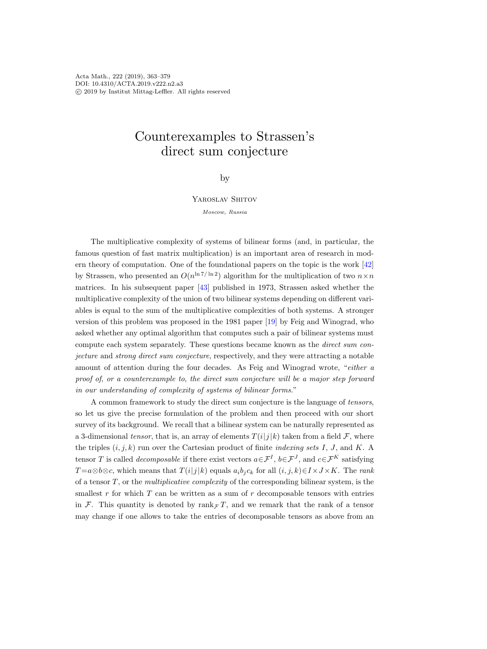Acta Math., 222 (2019), 363–379 DOI: 10.4310/ACTA.2019.v222.n2.a3 c 2019 by Institut Mittag-Leffler. All rights reserved

# Counterexamples to Strassen's direct sum conjecture

# by

Yaroslav Shitov

Moscow, Russia

The multiplicative complexity of systems of bilinear forms (and, in particular, the famous question of fast matrix multiplication) is an important area of research in modern theory of computation. One of the foundational papers on the topic is the work [\[42\]](#page-15-0) by Strassen, who presented an  $O(n^{\ln 7/\ln 2})$  algorithm for the multiplication of two  $n \times n$ matrices. In his subsequent paper [\[43\]](#page-15-1) published in 1973, Strassen asked whether the multiplicative complexity of the union of two bilinear systems depending on different variables is equal to the sum of the multiplicative complexities of both systems. A stronger version of this problem was proposed in the 1981 paper [\[19\]](#page-14-0) by Feig and Winograd, who asked whether any optimal algorithm that computes such a pair of bilinear systems must compute each system separately. These questions became known as the direct sum conjecture and strong direct sum conjecture, respectively, and they were attracting a notable amount of attention during the four decades. As Feig and Winograd wrote, "either a proof of, or a counterexample to, the direct sum conjecture will be a major step forward in our understanding of complexity of systems of bilinear forms."

A common framework to study the direct sum conjecture is the language of tensors, so let us give the precise formulation of the problem and then proceed with our short survey of its background. We recall that a bilinear system can be naturally represented as a 3-dimensional tensor, that is, an array of elements  $T(i|j|k)$  taken from a field  $\mathcal F$ , where the triples  $(i, j, k)$  run over the Cartesian product of finite *indexing sets I*, *J*, and *K*. A tensor T is called *decomposable* if there exist vectors  $a \in \mathcal{F}^I$ ,  $b \in \mathcal{F}^J$ , and  $c \in \mathcal{F}^K$  satisfying  $T=a\otimes b\otimes c$ , which means that  $T(i|j|k)$  equals  $a_ib_ic_k$  for all  $(i, j, k) \in I \times J \times K$ . The rank of a tensor  $T$ , or the *multiplicative complexity* of the corresponding bilinear system, is the smallest  $r$  for which  $T$  can be written as a sum of  $r$  decomposable tensors with entries in F. This quantity is denoted by rank $\pi T$ , and we remark that the rank of a tensor may change if one allows to take the entries of decomposable tensors as above from an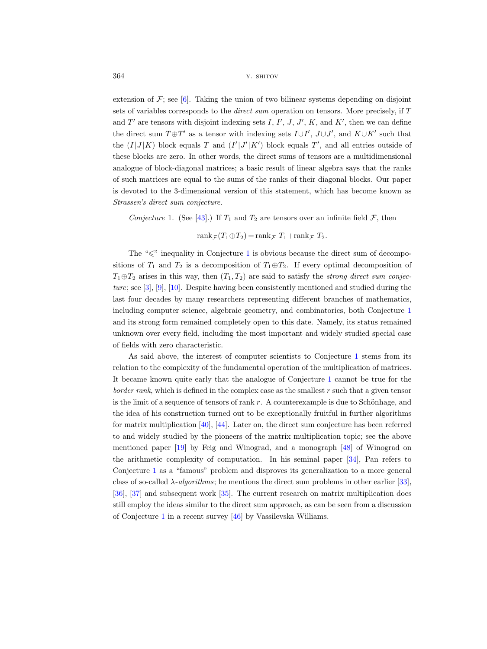extension of  $\mathcal{F}$ ; see [\[6\]](#page-14-1). Taking the union of two bilinear systems depending on disjoint sets of variables corresponds to the direct sum operation on tensors. More precisely, if T and T' are tensors with disjoint indexing sets I, I', J, J', K, and K', then we can define the direct sum  $T \oplus T'$  as a tensor with indexing sets  $I \cup I'$ ,  $J \cup J'$ , and  $K \cup K'$  such that the  $(I|J|K)$  block equals T and  $(I'|J'|K')$  block equals T', and all entries outside of these blocks are zero. In other words, the direct sums of tensors are a multidimensional analogue of block-diagonal matrices; a basic result of linear algebra says that the ranks of such matrices are equal to the sums of the ranks of their diagonal blocks. Our paper is devoted to the 3-dimensional version of this statement, which has become known as Strassen's direct sum conjecture.

<span id="page-1-0"></span>Conjecture 1. (See [\[43\]](#page-15-1).) If  $T_1$  and  $T_2$  are tensors over an infinite field  $\mathcal{F}$ , then

 $rank_{\mathcal{F}}(T_1 \oplus T_2) = rank_{\mathcal{F}} T_1 + rank_{\mathcal{F}} T_2.$ 

The " $\leq$ " inequality in Conjecture [1](#page-1-0) is obvious because the direct sum of decompositions of  $T_1$  and  $T_2$  is a decomposition of  $T_1 \oplus T_2$ . If every optimal decomposition of  $T_1 \oplus T_2$  arises in this way, then  $(T_1, T_2)$  are said to satisfy the *strong direct sum conjec*ture; see [\[3\]](#page-14-2), [\[9\]](#page-14-3), [\[10\]](#page-14-4). Despite having been consistently mentioned and studied during the last four decades by many researchers representing different branches of mathematics, including computer science, algebraic geometry, and combinatorics, both Conjecture [1](#page-1-0) and its strong form remained completely open to this date. Namely, its status remained unknown over every field, including the most important and widely studied special case of fields with zero characteristic.

As said above, the interest of computer scientists to Conjecture [1](#page-1-0) stems from its relation to the complexity of the fundamental operation of the multiplication of matrices. It became known quite early that the analogue of Conjecture [1](#page-1-0) cannot be true for the border rank, which is defined in the complex case as the smallest r such that a given tensor is the limit of a sequence of tensors of rank  $r$ . A counterexample is due to Schönhage, and the idea of his construction turned out to be exceptionally fruitful in further algorithms for matrix multiplication [\[40\]](#page-15-2), [\[44\]](#page-15-3). Later on, the direct sum conjecture has been referred to and widely studied by the pioneers of the matrix multiplication topic; see the above mentioned paper [\[19\]](#page-14-0) by Feig and Winograd, and a monograph [\[48\]](#page-16-0) of Winograd on the arithmetic complexity of computation. In his seminal paper [\[34\]](#page-15-4), Pan refers to Conjecture [1](#page-1-0) as a "famous" problem and disproves its generalization to a more general class of so-called  $\lambda$ -algorithms; he mentions the direct sum problems in other earlier [\[33\]](#page-15-5), [\[36\]](#page-15-6), [\[37\]](#page-15-7) and subsequent work [\[35\]](#page-15-8). The current research on matrix multiplication does still employ the ideas similar to the direct sum approach, as can be seen from a discussion of Conjecture [1](#page-1-0) in a recent survey [\[46\]](#page-15-9) by Vassilevska Williams.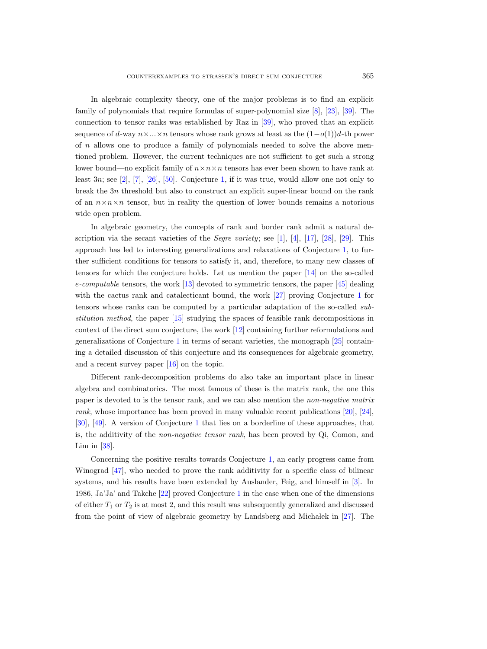In algebraic complexity theory, one of the major problems is to find an explicit family of polynomials that require formulas of super-polynomial size [\[8\]](#page-14-5), [\[23\]](#page-15-10), [\[39\]](#page-15-11). The connection to tensor ranks was established by Raz in [\[39\]](#page-15-11), who proved that an explicit sequence of d-way  $n \times ... \times n$  tensors whose rank grows at least as the  $(1-o(1))d$ -th power of n allows one to produce a family of polynomials needed to solve the above mentioned problem. However, the current techniques are not sufficient to get such a strong lower bound—no explicit family of  $n \times n \times n$  tensors has ever been shown to have rank at least  $3n$ ; see [\[2\]](#page-14-6), [\[7\]](#page-14-7), [\[26\]](#page-15-12), [\[50\]](#page-16-1). Conjecture [1,](#page-1-0) if it was true, would allow one not only to break the 3n threshold but also to construct an explicit super-linear bound on the rank of an  $n \times n \times n$  tensor, but in reality the question of lower bounds remains a notorious wide open problem.

In algebraic geometry, the concepts of rank and border rank admit a natural description via the secant varieties of the *Segre variety*; see [\[1\]](#page-14-8), [\[4\]](#page-14-9), [\[17\]](#page-14-10), [\[28\]](#page-15-13), [\[29\]](#page-15-14). This approach has led to interesting generalizations and relaxations of Conjecture [1,](#page-1-0) to further sufficient conditions for tensors to satisfy it, and, therefore, to many new classes of tensors for which the conjecture holds. Let us mention the paper [\[14\]](#page-14-11) on the so-called e-computable tensors, the work [\[13\]](#page-14-12) devoted to symmetric tensors, the paper [\[45\]](#page-15-15) dealing with the cactus rank and catalecticant bound, the work [\[27\]](#page-15-16) proving Conjecture [1](#page-1-0) for tensors whose ranks can be computed by a particular adaptation of the so-called substitution method, the paper [\[15\]](#page-14-13) studying the spaces of feasible rank decompositions in context of the direct sum conjecture, the work [\[12\]](#page-14-14) containing further reformulations and generalizations of Conjecture [1](#page-1-0) in terms of secant varieties, the monograph [\[25\]](#page-15-17) containing a detailed discussion of this conjecture and its consequences for algebraic geometry, and a recent survey paper [\[16\]](#page-14-15) on the topic.

Different rank-decomposition problems do also take an important place in linear algebra and combinatorics. The most famous of these is the matrix rank, the one this paper is devoted to is the tensor rank, and we can also mention the non-negative matrix rank, whose importance has been proved in many valuable recent publications [\[20\]](#page-14-16), [\[24\]](#page-15-18), [\[30\]](#page-15-19), [\[49\]](#page-16-2). A version of Conjecture [1](#page-1-0) that lies on a borderline of these approaches, that is, the additivity of the non-negative tensor rank, has been proved by Qi, Comon, and Lim in  $[38]$ .

Concerning the positive results towards Conjecture [1,](#page-1-0) an early progress came from Winograd [\[47\]](#page-15-21), who needed to prove the rank additivity for a specific class of bilinear systems, and his results have been extended by Auslander, Feig, and himself in [\[3\]](#page-14-2). In 1986, Ja'Ja' and Takche [\[22\]](#page-15-22) proved Conjecture [1](#page-1-0) in the case when one of the dimensions of either  $T_1$  or  $T_2$  is at most 2, and this result was subsequently generalized and discussed from the point of view of algebraic geometry by Landsberg and Michaelk in  $[27]$ . The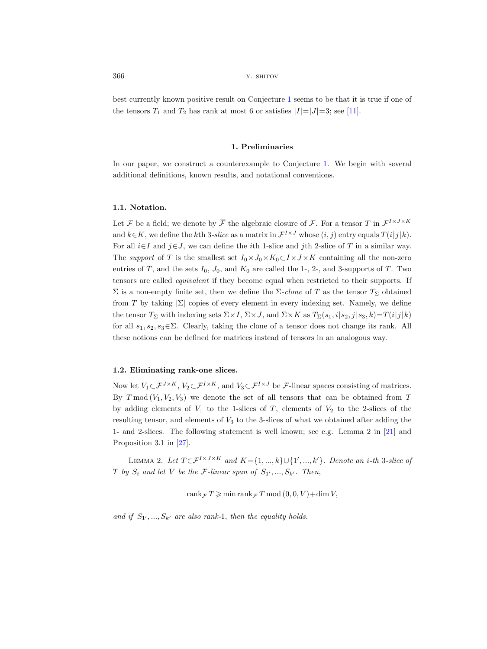best currently known positive result on Conjecture [1](#page-1-0) seems to be that it is true if one of the tensors  $T_1$  and  $T_2$  has rank at most 6 or satisfies  $|I|=|J|=3$ ; see [\[11\]](#page-14-17).

#### 1. Preliminaries

In our paper, we construct a counterexample to Conjecture [1.](#page-1-0) We begin with several additional definitions, known results, and notational conventions. best currently known positive rest<br>the tensors  $T_1$  and  $T_2$  has rank at<br>In our paper, we construct a cound<br>additional definitions, known resu<br>1.1. Notation.<br>Let  $\mathcal F$  be a field; we denote by  $\overline{\mathcal F}$ 

## 1.1. Notation.

the algebraic closure of F. For a tensor T in  $\mathcal{F}^{I \times J \times K}$ and  $k \in K$ , we define the kth 3-slice as a matrix in  $\mathcal{F}^{I \times J}$  whose  $(i, j)$  entry equals  $T(i|j|k)$ . For all  $i\in I$  and  $j\in J$ , we can define the *i*th 1-slice and *j*th 2-slice of T in a similar way. The support of T is the smallest set  $I_0 \times J_0 \times K_0 \subset I \times J \times K$  containing all the non-zero entries of T, and the sets  $I_0$ ,  $J_0$ , and  $K_0$  are called the 1-, 2-, and 3-supports of T. Two tensors are called equivalent if they become equal when restricted to their supports. If Σ is a non-empty finite set, then we define the  $\Sigma$ -clone of T as the tensor  $T_{\Sigma}$  obtained from T by taking  $|\Sigma|$  copies of every element in every indexing set. Namely, we define the tensor  $T_{\Sigma}$  with indexing sets  $\Sigma \times I$ ,  $\Sigma \times J$ , and  $\Sigma \times K$  as  $T_{\Sigma}(s_1, i|s_2, j|s_3, k) = T(i|j|k)$ for all  $s_1, s_2, s_3 \in \Sigma$ . Clearly, taking the clone of a tensor does not change its rank. All these notions can be defined for matrices instead of tensors in an analogous way.

## 1.2. Eliminating rank-one slices.

Now let  $V_1\subset \mathcal{F}^{J\times K}$ ,  $V_2\subset \mathcal{F}^{I\times K}$ , and  $V_3\subset \mathcal{F}^{I\times J}$  be  $\mathcal{F}$ -linear spaces consisting of matrices. By  $T \mod (V_1, V_2, V_3)$  we denote the set of all tensors that can be obtained from T by adding elements of  $V_1$  to the 1-slices of T, elements of  $V_2$  to the 2-slices of the resulting tensor, and elements of  $V_3$  to the 3-slices of what we obtained after adding the 1- and 2-slices. The following statement is well known; see e.g. Lemma 2 in [\[21\]](#page-14-18) and Proposition 3.1 in [\[27\]](#page-15-16).

<span id="page-3-0"></span>LEMMA 2. Let  $T \in \mathcal{F}^{I \times J \times K}$  and  $K = \{1, ..., k\} \cup \{1', ..., k'\}$ . Denote an i-th 3-slice of T by  $S_i$  and let V be the F-linear span of  $S_{1'},...,S_{k'}$ . Then,

rank  $\tau T \geqslant \min \operatorname{rank}_{\mathcal{F}} T \mod (0, 0, V) + \dim V$ ,

and if  $S_1$ , ...,  $S_{k'}$  are also rank-1, then the equality holds.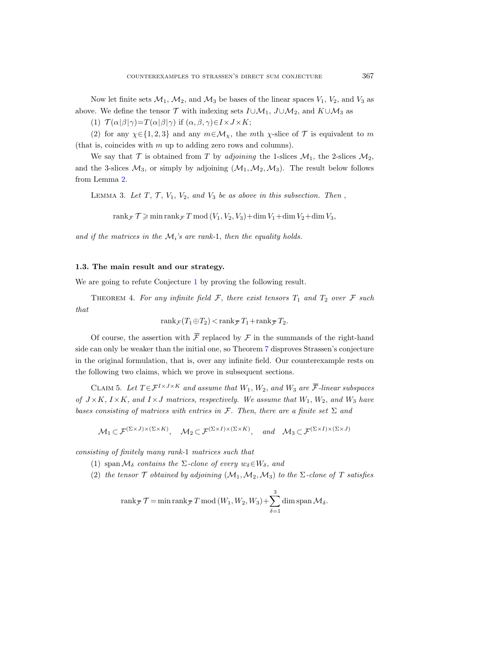Now let finite sets  $\mathcal{M}_1$ ,  $\mathcal{M}_2$ , and  $\mathcal{M}_3$  be bases of the linear spaces  $V_1$ ,  $V_2$ , and  $V_3$  as above. We define the tensor  $\mathcal T$  with indexing sets  $I\cup\mathcal M_1$ ,  $J\cup\mathcal M_2$ , and  $K\cup\mathcal M_3$  as

(1)  $\mathcal{T}(\alpha|\beta|\gamma) = T(\alpha|\beta|\gamma)$  if  $(\alpha, \beta, \gamma) \in I \times J \times K$ ;

(2) for any  $\chi \in \{1, 2, 3\}$  and any  $m \in \mathcal{M}_{\chi}$ , the mth  $\chi$ -slice of  $\mathcal T$  is equivalent to m (that is, coincides with  $m$  up to adding zero rows and columns).

We say that  $\mathcal T$  is obtained from  $T$  by adjoining the 1-slices  $\mathcal M_1$ , the 2-slices  $\mathcal M_2$ , and the 3-slices  $\mathcal{M}_3$ , or simply by adjoining  $(\mathcal{M}_1,\mathcal{M}_2,\mathcal{M}_3)$ . The result below follows from Lemma [2.](#page-3-0)

<span id="page-4-2"></span>LEMMA 3. Let  $T, T, V_1, V_2, and V_3$  be as above in this subsection. Then,

rank $\mathcal{F} \geqslant \min \operatorname{rank}_{\mathcal{F}} T \mod (V_1, V_2, V_3) + \dim V_1 + \dim V_2 + \dim V_3$ ,

and if the matrices in the  $M_i$ 's are rank-1, then the equality holds.

## 1.3. The main result and our strategy.

<span id="page-4-1"></span>We are going to refute Conjecture [1](#page-1-0) by proving the following result.

THEOREM 4. For any infinite field  $\mathcal{F}$ , there exist tensors  $T_1$  and  $T_2$  over  $\mathcal{F}$  such that example our strategy.<br>
ranker and the field  $\mathcal{F},$  there exist tensorphility infinite field  $\mathcal{F},$  there exist tensorphility  $\text{rank}_{\mathcal{F}}(T_1 \oplus T_2) < \text{rank}_{\mathcal{F}} T_1 + \text{rank}_{\mathcal{F}}$ rank $\tau \mathcal{T} \geqslant$  min rank $\tau T$  m<br> *if the matrices in the*  $\mathcal{M}_i$ 's are *i*<br> **The main result and our sti**<br>
are going to refute Conjecture 1<br>
THEOREM 4. For any infinite f<br>
rank $\tau(T_1 \oplus$ <br>
Of course, the assertion wi

$$
rank_{\mathcal{F}}(T_1 \oplus T_2) < rank_{\mathcal{F}} T_1 + rank_{\mathcal{F}} T_2.
$$

Of course, the assertion with  $\bar{\mathcal{F}}$  replaced by  $\mathcal F$  in the summands of the right-hand side can only be weaker than the initial one, so Theorem [7](#page-5-0) disproves Strassen's conjecture in the original formulation, that is, over any infinite field. Our counterexample rests on the following two claims, which we prove in subsequent sections. The main result and our strategy.<br>
are going to refute Conjecture 1 by proving the following result.<br>
THEOREM 4. For any infinite field  $\mathcal{F}$ , there exist tensors  $T_1$  and<br>  $\text{rank}_{\mathcal{F}}(T_1 \oplus T_2) < \text{rank}_{\mathcal{F}} T_1 + \text{rank}_{$ 

<span id="page-4-0"></span>CLAIM 5. Let  $T \in \mathcal{F}^{I \times J \times K}$  and assume that  $W_1, W_2$ , and  $W_3$  are  $\overline{\mathcal{F}}$ -linear subspaces of  $J \times K$ ,  $I \times K$ , and  $I \times J$  matrices, respectively. We assume that  $W_1, W_2$ , and  $W_3$  have bases consisting of matrices with entries in F. Then, there are a finite set  $\Sigma$  and

$$
\mathcal{M}_1 \subset \mathcal{F}^{(\Sigma \times J) \times (\Sigma \times K)}, \quad \mathcal{M}_2 \subset \mathcal{F}^{(\Sigma \times I) \times (\Sigma \times K)}, \quad \text{and} \quad \mathcal{M}_3 \subset \mathcal{F}^{(\Sigma \times I) \times (\Sigma \times J)}
$$

consisting of finitely many rank-1 matrices such that

- (1) span  $\mathcal{M}_{\delta}$  contains the  $\Sigma$ -clone of every  $w_{\delta} \in W_{\delta}$ , and
- (2) the tensor  $\mathcal T$  obtained by adjoining  $(\mathcal{M}_1,\mathcal{M}_2,\mathcal{M}_3)$  to the  $\Sigma$ -clone of  $T$  satisfies

$$
finitely many rank-1 matrices such that
$$
  
\n
$$
\mathcal{M}_{\delta} contains the \Sigma-\text{clone of every } w_{\delta} \in W_{\delta}, and
$$
  
\n
$$
tensor \mathcal{T} obtained by adjoining (\mathcal{M}_1, \mathcal{M}_2, \mathcal{M}_3) to the \Sigma-\text{clone}
$$
  
\n
$$
rank_{\overline{\mathcal{T}}} \mathcal{T} = \min \operatorname{rank}_{\overline{\mathcal{T}}} T \bmod (W_1, W_2, W_3) + \sum_{\delta=1}^3 \dim \operatorname{span} \mathcal{M}_{\delta}.
$$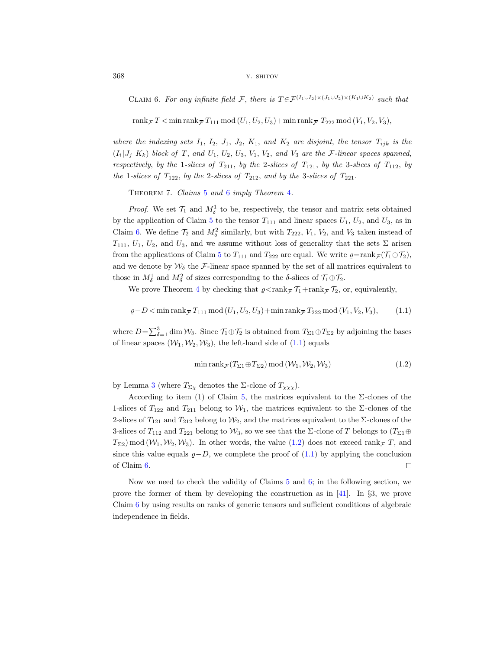<span id="page-5-1"></span>CLAIM 6. For any infinite field F, there is  $T \in \mathcal{F}^{(I_1 \cup I_2) \times (J_1 \cup J_2) \times (K_1 \cup K_2)}$  such that

 $\label{eq:1}$  TLAIM 6. For any infinite field<br>  ${\cal F},$  there is  $T{\in}{\cal F}^{(I_1\cup I_2)}:$ <br> $\mathrm{rank}_{\cal F}T<\min\mathrm{rank}_{\cal F}T_{111}\bmod{(U_1,U_2,U_3)}+\min\mathrm{rank}_{\cal F}T_{211}\bmod{(U_1,U_2,U_3)}$ rank  $\bar{T}$  < min rank  $\bar{T}T_{111}$  mod  $(U_1, U_2, U_3)$  + min rank  $\bar{T}T_{222}$  mod  $(V_1, V_2, V_3)$ ,

where the indexing sets  $I_1$ ,  $I_2$ ,  $J_1$ ,  $J_2$ ,  $K_1$ , and  $K_2$  are disjoint, the tensor  $T_{ijk}$  is the  $(I_i|J_j|K_k)$  block of T, and  $U_1, U_2, U_3, V_1, V_2$ , and  $V_3$  are the F-linear spaces spanned, <sup>2</sup><br>
23<br>
CLAIM 6. For any infinite field  $\mathcal{F}$ , there is  $T \in \mathcal{F}^{(I_1 \cup I_2) \times (J_1 \cup I_2)}$ <br>  $\text{rank}_{\mathcal{F}} T < \min \text{rank}_{\mathcal{F}} T_{111} \mod (U_1, U_2, U_3) + \min \text{rank}_{\mathcal{F}} T_{222}$ <br> *ere the indexing sets*  $I_1$ ,  $I_2$ ,  $J_1$ ,  $J_2$ ,  $K$ respectively, by the 1-slices of  $T_{211}$ , by the 2-slices of  $T_{121}$ , by the 3-slices of  $T_{112}$ , by the 1-slices of  $T_{122}$ , by the 2-slices of  $T_{212}$ , and by the 3-slices of  $T_{221}$ .

<span id="page-5-0"></span>THEOREM 7. Claims [5](#page-4-0) and [6](#page-5-1) imply Theorem [4](#page-4-1).

*Proof.* We set  $\mathcal{T}_1$  and  $M_{\delta}^1$  to be, respectively, the tensor and matrix sets obtained by the application of Claim [5](#page-4-0) to the tensor  $T_{111}$  and linear spaces  $U_1, U_2$ , and  $U_3$ , as in Claim [6.](#page-5-1) We define  $\mathcal{T}_2$  and  $M_{\delta}^2$  similarly, but with  $T_{222}$ ,  $V_1$ ,  $V_2$ , and  $V_3$  taken instead of  $T_{111}$ ,  $U_1$ ,  $U_2$ , and  $U_3$ , and we assume without loss of generality that the sets  $\Sigma$  arisen from the applications of Claim [5](#page-4-0) to  $T_{111}$  and  $T_{222}$  are equal. We write  $\varrho = \text{rank}_{\mathcal{F}} (\mathcal{T}_1 \oplus \mathcal{T}_2)$ , and we denote by  $\mathcal{W}_{\delta}$  the F-linear space spanned by the set of all matrices equivalent to those in  $M_{\delta}^1$  and  $M_{\delta}^2$  of sizes corresponding to the  $\delta$ -slices of  $\mathcal{T}_1 \oplus \mathcal{T}_2$ . m b. We define  $I_2$  and  $M_6^*$  similarly, but with  $T_{222}$ ,  $V_1$ ,  $V_2$ ,  $U_1$ ,  $U_2$ , and  $U_3$ , and we assume without loss of generalit the applications of Claim 5 to  $T_{111}$  and  $T_{222}$  are equal. We we denote by the applications of Claim 5 to  $T_{111}$  and  $T_{222}$  are equally we denote by  $W_{\delta}$  the  $\mathcal{F}\text{-linear}$  space spanned by the  $\infty$  in  $M_{\delta}^1$  and  $M_{\delta}^2$  of sizes corresponding to the  $\delta$ -slice We prove Theorem 4 by c

We prove Theorem 4 by checking that  $\varrho < \text{rank}_{\overline{\mathcal{F}}} \mathcal{T}_1 + \text{rank}_{\overline{\mathcal{F}}} \mathcal{T}_2$ , or, equivalently,

<span id="page-5-2"></span>
$$
\varrho - D < \min \operatorname{rank}_{\mathcal{F}} T_{111} \mod (U_1, U_2, U_3) + \min \operatorname{rank}_{\mathcal{F}} T_{222} \mod (V_1, V_2, V_3),\tag{1.1}
$$

where  $D=\sum_{\delta=1}^3 \dim \mathcal{W}_\delta$ . Since  $\mathcal{T}_1 \oplus \mathcal{T}_2$  is obtained from  $T_{\Sigma 1} \oplus T_{\Sigma 2}$  by adjoining the bases of linear spaces  $(\mathcal{W}_1, \mathcal{W}_2, \mathcal{W}_3)$ , the left-hand side of  $(1.1)$  equals

<span id="page-5-3"></span>
$$
\min \text{rank}_{\mathcal{F}}(T_{\Sigma 1} \oplus T_{\Sigma 2}) \bmod (\mathcal{W}_1, \mathcal{W}_2, \mathcal{W}_3) \tag{1.2}
$$

by Lemma [3](#page-4-2) (where  $T_{\Sigma\chi}$  denotes the  $\Sigma$ -clone of  $T_{\chi\chi\chi}$ ).

According to item (1) of Claim [5,](#page-4-0) the matrices equivalent to the  $\Sigma$ -clones of the 1-slices of  $T_{122}$  and  $T_{211}$  belong to  $W_1$ , the matrices equivalent to the  $\Sigma$ -clones of the 2-slices of  $T_{121}$  and  $T_{212}$  belong to  $\mathcal{W}_2$ , and the matrices equivalent to the  $\Sigma$ -clones of the 3-slices of  $T_{112}$  and  $T_{221}$  belong to  $\mathcal{W}_3$ , so we see that the  $\Sigma$ -clone of T belongs to  $(T_{\Sigma1} \oplus$  $T_{\Sigma2}$ ) mod  $(\mathcal{W}_1, \mathcal{W}_2, \mathcal{W}_3)$ . In other words, the value [\(1.2\)](#page-5-3) does not exceed rank  $\tau$  T, and since this value equals  $\rho - D$ , we complete the proof of [\(1.1\)](#page-5-2) by applying the conclusion of Claim [6.](#page-5-1)  $\Box$ 

Now we need to check the validity of Claims [5](#page-4-0) and [6;](#page-5-1) in the following section, we prove the former of them by developing the construction as in [\[41\]](#page-15-23). In §3, we prove Claim [6](#page-5-1) by using results on ranks of generic tensors and sufficient conditions of algebraic independence in fields.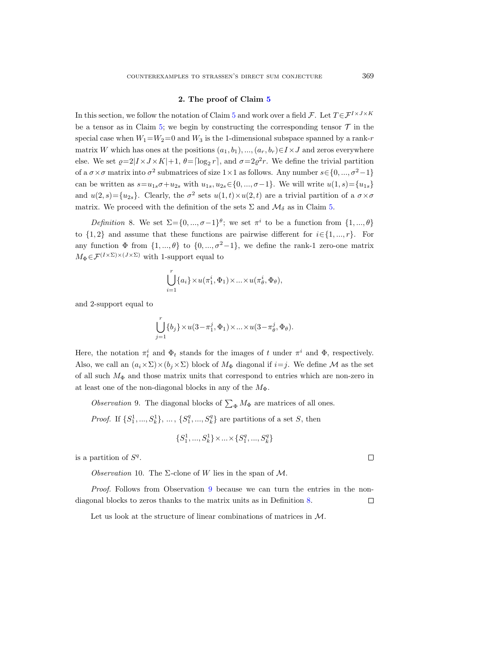#### 2. The proof of Claim [5](#page-4-0)

In this section, we follow the notation of Claim [5](#page-4-0) and work over a field  $\mathcal{F}$ . Let  $T \in \mathcal{F}^{I \times J \times K}$ be a tensor as in Claim [5;](#page-4-0) we begin by constructing the corresponding tensor  $\mathcal T$  in the special case when  $W_1=W_2=0$  and  $W_3$  is the 1-dimensional subspace spanned by a rank-r matrix W which has ones at the positions  $(a_1, b_1), ..., (a_r, b_r) \in I \times J$  and zeros everywhere else. We set  $\varrho=2|I\times J\times K|+1$ ,  $\theta=\lceil \log_2 r \rceil$ , and  $\sigma=2\varrho^2 r$ . We define the trivial partition of a  $\sigma \times \sigma$  matrix into  $\sigma^2$  submatrices of size 1×1 as follows. Any number  $s \in \{0, ..., \sigma^2-1\}$ can be written as  $s=u_{1s}\sigma+u_{2s}$  with  $u_{1s}, u_{2s} \in \{0, ..., \sigma-1\}$ . We will write  $u(1, s) = \{u_{1s}\}\$ and  $u(2, s) = \{u_{2s}\}.$  Clearly, the  $\sigma^2$  sets  $u(1, t) \times u(2, t)$  are a trivial partition of a  $\sigma \times \sigma$ matrix. We proceed with the definition of the sets  $\Sigma$  and  $\mathcal{M}_{\delta}$  as in Claim [5.](#page-4-0)

<span id="page-6-1"></span>Definition 8. We set  $\Sigma = \{0, ..., \sigma-1\}^{\theta}$ ; we set  $\pi^{i}$  to be a function from  $\{1, ..., \theta\}$ to  $\{1, 2\}$  and assume that these functions are pairwise different for  $i \in \{1, ..., r\}$ . For any function  $\Phi$  from  $\{1, ..., \theta\}$  to  $\{0, ..., \sigma^2-1\}$ , we define the rank-1 zero-one matrix  $M_{\Phi} \in \mathcal{F}^{(I \times \Sigma) \times (J \times \Sigma)}$  with 1-support equal to

$$
\bigcup_{i=1}^r \{a_i\} \times u(\pi_1^i, \Phi_1) \times \ldots \times u(\pi_\theta^i, \Phi_\theta),
$$

and 2-support equal to

$$
\bigcup_{j=1}^r \{b_j\} \times u(3-\pi_1^j,\Phi_1) \times \ldots \times u(3-\pi_\theta^j,\Phi_\theta).
$$

Here, the notation  $\pi_t^i$  and  $\Phi_t$  stands for the images of t under  $\pi^i$  and  $\Phi$ , respectively. Also, we call an  $(a_i \times \Sigma) \times (b_i \times \Sigma)$  block of  $M_{\Phi}$  diagonal if  $i=j$ . We define M as the set of all such  $M_{\Phi}$  and those matrix units that correspond to entries which are non-zero in at least one of the non-diagonal blocks in any of the  $M_{\Phi}$ .

<span id="page-6-0"></span>*Observation* 9. The diagonal blocks of  $\sum_{\Phi} M_{\Phi}$  are matrices of all ones.

*Proof.* If  $\{S_1^1, ..., S_k^1\}$ , ...,  $\{S_1^q, ..., S_k^q\}$  are partitions of a set S, then

$$
\{S_1^1,...,S_k^1\}\!\times\!\ldots\!\times\!\{S_1^q,...,S_k^q\}
$$

<span id="page-6-2"></span>is a partition of  $S<sup>q</sup>$ .

Observation 10. The  $\Sigma$ -clone of W lies in the span of M.

Proof. Follows from Observation [9](#page-6-0) because we can turn the entries in the nondiagonal blocks to zeros thanks to the matrix units as in Definition [8.](#page-6-1)  $\Box$ 

Let us look at the structure of linear combinations of matrices in M.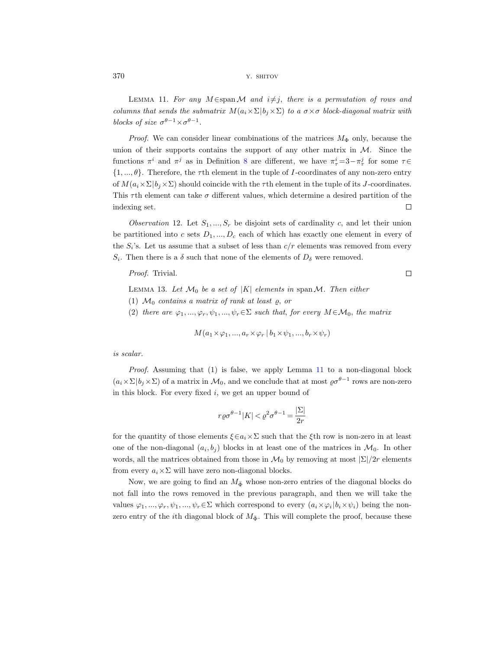<span id="page-7-0"></span>LEMMA 11. For any M  $\in$ span M and  $i\neq j$ , there is a permutation of rows and columns that sends the submatrix  $M(a_i \times \Sigma | b_i \times \Sigma)$  to a  $\sigma \times \sigma$  block-diagonal matrix with blocks of size  $\sigma^{\theta-1} \times \sigma^{\theta-1}$ .

*Proof.* We can consider linear combinations of the matrices  $M_{\Phi}$  only, because the union of their supports contains the support of any other matrix in  $M$ . Since the functions  $\pi^i$  and  $\pi^j$  as in Definition [8](#page-6-1) are different, we have  $\pi^i_\tau = 3 - \pi^j_\tau$  for some  $\tau \in$  $\{1, ..., \theta\}$ . Therefore, the  $\tau$ th element in the tuple of I-coordinates of any non-zero entry of  $M(a_i \times \Sigma | b_i \times \Sigma)$  should coincide with the  $\tau$ th element in the tuple of its J-coordinates. This  $\tau$ th element can take  $\sigma$  different values, which determine a desired partition of the indexing set.  $\Box$ 

<span id="page-7-1"></span>Observation 12. Let  $S_1, ..., S_r$  be disjoint sets of cardinality c, and let their union be partitioned into c sets  $D_1, ..., D_c$  each of which has exactly one element in every of the  $S_i$ 's. Let us assume that a subset of less than  $c/r$  elements was removed from every  $S_i$ . Then there is a  $\delta$  such that none of the elements of  $D_{\delta}$  were removed.

Proof. Trivial.

<span id="page-7-2"></span>LEMMA 13. Let  $\mathcal{M}_0$  be a set of |K| elements in span  $\mathcal{M}$ . Then either

- (1)  $\mathcal{M}_0$  contains a matrix of rank at least  $\rho$ , or
- (2) there are  $\varphi_1, ..., \varphi_r, \psi_1, ..., \psi_r \in \Sigma$  such that, for every  $M \in \mathcal{M}_0$ , the matrix

$$
M(a_1 \times \varphi_1, ..., a_r \times \varphi_r \mid b_1 \times \psi_1, ..., b_r \times \psi_r)
$$

is scalar.

Proof. Assuming that (1) is false, we apply Lemma [11](#page-7-0) to a non-diagonal block  $(a_i \times \Sigma | b_j \times \Sigma)$  of a matrix in  $\mathcal{M}_0$ , and we conclude that at most  $\varrho \sigma^{\theta-1}$  rows are non-zero in this block. For every fixed  $i$ , we get an upper bound of

$$
r\varrho\sigma^{\theta-1}|K| < \varrho^2\sigma^{\theta-1} = \frac{|\Sigma|}{2r}
$$

for the quantity of those elements  $\xi \in a_i \times \Sigma$  such that the  $\xi$ th row is non-zero in at least one of the non-diagonal  $(a_i, b_j)$  blocks in at least one of the matrices in  $\mathcal{M}_0$ . In other words, all the matrices obtained from those in  $\mathcal{M}_0$  by removing at most  $|\Sigma|/2r$  elements from every  $a_i \times \Sigma$  will have zero non-diagonal blocks.

Now, we are going to find an  $M_{\bar{\Phi}}$  whose non-zero entries of the diagonal blocks do not fall into the rows removed in the previous paragraph, and then we will take the values  $\varphi_1, ..., \varphi_r, \psi_1, ..., \psi_r \in \Sigma$  which correspond to every  $(a_i \times \varphi_i | b_i \times \psi_i)$  being the nonzero entry of the *i*th diagonal block of  $M_{\Phi}$ . This will complete the proof, because these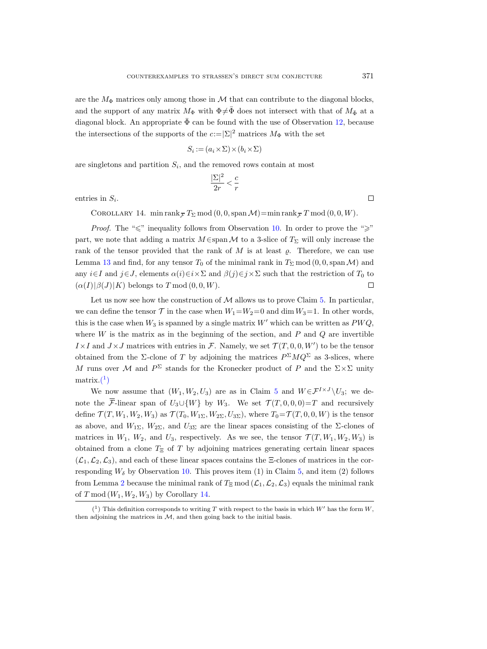are the  $M_{\Phi}$  matrices only among those in M that can contribute to the diagonal blocks, and the support of any matrix  $M_{\Phi}$  with  $\Phi \neq \bar{\Phi}$  does not intersect with that of  $M_{\bar{\Phi}}$  at a diagonal block. An appropriate  $\bar{\Phi}$  can be found with the use of Observation [12,](#page-7-1) because the intersections of the supports of the  $c:=|\Sigma|^2$  matrices  $M_{\Phi}$  with the set

$$
S_i := (a_i \times \Sigma) \times (b_i \times \Sigma)
$$

are singletons and partition  $S_i$ , and the removed rows contain at most

$$
\frac{|\Sigma|^2}{2r} < \frac{c}{r}
$$

<span id="page-8-1"></span>entries in  $S_i$ .

ingletons and partition  $S_i$ , and the removed rows contain at m<br>  $\frac{|\Sigma|^2}{2r} < \frac{c}{r}$ <br>
es in  $S_i$ .<br>
COROLLARY 14. min rank  $_{\overline{F}}T_{\Sigma} \bmod (0, 0, \text{span }\mathcal{M}) = \min \text{rank}_{\overline{F}}$ COROLLARY 14. min rank  $_{\overline{\tau}} T_{\Sigma} \mod (0, 0, \text{span } \mathcal{M}) = \min \text{rank}_{\overline{\tau}} T \mod (0, 0, W)$ .

*Proof.* The " $\leq$ " inequality follows from Observation [10.](#page-6-2) In order to prove the " $\geq$ " part, we note that adding a matrix  $M \in \text{span } \mathcal{M}$  to a 3-slice of  $T_{\Sigma}$  will only increase the rank of the tensor provided that the rank of  $M$  is at least  $\varrho$ . Therefore, we can use Lemma [13](#page-7-2) and find, for any tensor  $T_0$  of the minimal rank in  $T_\Sigma$  mod  $(0, 0, \text{span }\mathcal{M})$  and any  $i\in I$  and  $j\in J$ , elements  $\alpha(i)\in i\times \Sigma$  and  $\beta(j)\in j\times \Sigma$  such that the restriction of  $T_0$  to  $(\alpha(I)|\beta(J)|K)$  belongs to T mod  $(0, 0, W)$ .  $\Box$ 

Let us now see how the construction of  $\mathcal M$  allows us to prove Claim [5.](#page-4-0) In particular, we can define the tensor  $\mathcal T$  in the case when  $W_1=W_2=0$  and dim  $W_3=1$ . In other words, this is the case when  $W_3$  is spanned by a single matrix W' which can be written as  $PWQ$ , where  $W$  is the matrix as in the beginning of the section, and  $P$  and  $Q$  are invertible  $I \times I$  and  $J \times J$  matrices with entries in F. Namely, we set  $\mathcal{T}(T,0,0,W')$  to be the tensor obtained from the  $\Sigma$ -clone of T by adjoining the matrices  $P^{\Sigma}MQ^{\Sigma}$  as 3-slices, where M runs over M and  $P^{\Sigma}$  stands for the Kronecker product of P and the  $\Sigma \times \Sigma$  unity  $matrix.(1)$  $matrix.(1)$  $matrix.(1)$  $(\alpha(I)|\beta(J)|$ <br>
Let us 1<br>
we can defin<br>
this is the case<br>
where W is<br>  $I \times I$  and  $J$  b<br>
obtained from<br>
M runs over<br>
matrix.(1)<br>
We not<br>
note the  $\overline{\mathcal{F}}$ .

We now assume that  $(W_1, W_2, U_3)$  are as in Claim [5](#page-4-0) and  $W \in \mathcal{F}^{I \times J} \backslash U_3$ ; we denote the  $\bar{\mathcal{F}}$ -linear span of  $U_3\cup\{W\}$  by  $W_3$ . We set  $\mathcal{T}(T,0,0,0)=T$  and recursively define  $\mathcal{T}(T, W_1, W_2, W_3)$  as  $\mathcal{T}(T_0, W_1\Sigma, W_2\Sigma, U_3\Sigma)$ , where  $T_0 = \mathcal{T}(T, 0, 0, W)$  is the tensor as above, and  $W_{1\Sigma}$ ,  $W_{2\Sigma}$ , and  $U_{3\Sigma}$  are the linear spaces consisting of the  $\Sigma$ -clones of matrices in  $W_1$ ,  $W_2$ , and  $U_3$ , respectively. As we see, the tensor  $\mathcal{T}(T, W_1, W_2, W_3)$  is obtained from a clone  $T_{\Xi}$  of T by adjoining matrices generating certain linear spaces  $(\mathcal{L}_1,\mathcal{L}_2,\mathcal{L}_3)$ , and each of these linear spaces contains the  $\Xi$ -clones of matrices in the corresponding  $W_{\delta}$  by Observation [10.](#page-6-2) This proves item (1) in Claim [5,](#page-4-0) and item (2) follows from Lemma [2](#page-3-0) because the minimal rank of  $T_{\Xi}$  mod  $(\mathcal{L}_1, \mathcal{L}_2, \mathcal{L}_3)$  equals the minimal rank of  $T \mod (W_1, W_2, W_3)$  by Corollary [14.](#page-8-1)

<span id="page-8-0"></span> $(1)$  This definition corresponds to writing T with respect to the basis in which W' has the form W, then adjoining the matrices in  $M$ , and then going back to the initial basis.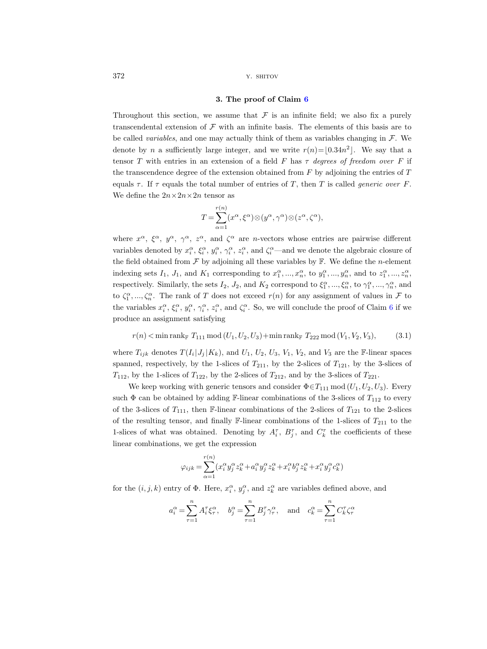#### 3. The proof of Claim [6](#page-5-1)

Throughout this section, we assume that  $\mathcal F$  is an infinite field; we also fix a purely transcendental extension of  $\mathcal F$  with an infinite basis. The elements of this basis are to be called variables, and one may actually think of them as variables changing in  $\mathcal{F}$ . We denote by n a sufficiently large integer, and we write  $r(n) = |0.34n^2|$ . We say that a tensor T with entries in an extension of a field F has  $\tau$  degrees of freedom over F if the transcendence degree of the extension obtained from  $F$  by adjoining the entries of  $T$ equals  $\tau$ . If  $\tau$  equals the total number of entries of T, then T is called *generic over* F. We define the  $2n \times 2n \times 2n$  tensor as

$$
T = \sum_{\alpha=1}^{r(n)} (x^{\alpha}, \xi^{\alpha}) \otimes (y^{\alpha}, \gamma^{\alpha}) \otimes (z^{\alpha}, \zeta^{\alpha}),
$$

where  $x^{\alpha}$ ,  $\xi^{\alpha}$ ,  $y^{\alpha}$ ,  $\gamma^{\alpha}$ ,  $z^{\alpha}$ , and  $\zeta^{\alpha}$  are *n*-vectors whose entries are pairwise different variables denoted by  $x_i^{\alpha}$ ,  $\xi_i^{\alpha}$ ,  $y_i^{\alpha}$ ,  $\gamma_i^{\alpha}$ ,  $z_i^{\alpha}$ , and  $\zeta_i^{\alpha}$ —and we denote the algebraic closure of the field obtained from  $\mathcal F$  by adjoining all these variables by  $\mathbb F$ . We define the *n*-element indexing sets  $I_1, J_1$ , and  $K_1$  corresponding to  $x_1^{\alpha}, ..., x_n^{\alpha}$ , to  $y_1^{\alpha}, ..., y_n^{\alpha}$ , and to  $z_1^{\alpha}, ..., z_n^{\alpha}$ , respectively. Similarly, the sets  $I_2$ ,  $J_2$ , and  $K_2$  correspond to  $\xi_1^{\alpha}, ..., \xi_n^{\alpha}$ , to  $\gamma_1^{\alpha}, ..., \gamma_n^{\alpha}$ , and to  $\zeta_1^{\alpha},...,\zeta_n^{\alpha}$ . The rank of T does not exceed  $r(n)$  for any assignment of values in F to the variables  $x_i^{\alpha}$ ,  $\xi_i^{\alpha}$ ,  $y_i^{\alpha}$ ,  $\gamma_i^{\alpha}$ ,  $z_i^{\alpha}$ , and  $\zeta_i^{\alpha}$ . So, we will conclude the proof of Claim [6](#page-5-1) if we produce an assignment satisfying

<span id="page-9-0"></span>
$$
r(n) < \min \operatorname{rank}_{\mathbb{F}} T_{111} \mod (U_1, U_2, U_3) + \min \operatorname{rank}_{\mathbb{F}} T_{222} \mod (V_1, V_2, V_3),
$$
(3.1)

where  $T_{ijk}$  denotes  $T(I_i|J_j|K_k)$ , and  $U_1, U_2, U_3, V_1, V_2$ , and  $V_3$  are the F-linear spaces spanned, respectively, by the 1-slices of  $T_{211}$ , by the 2-slices of  $T_{121}$ , by the 3-slices of  $T_{112}$ , by the 1-slices of  $T_{122}$ , by the 2-slices of  $T_{212}$ , and by the 3-slices of  $T_{221}$ .

We keep working with generic tensors and consider  $\Phi \in T_{111} \mod (U_1, U_2, U_3)$ . Every such  $\Phi$  can be obtained by adding F-linear combinations of the 3-slices of  $T_{112}$  to every of the 3-slices of  $T_{111}$ , then F-linear combinations of the 2-slices of  $T_{121}$  to the 2-slices of the resulting tensor, and finally  $\mathbb{F}$ -linear combinations of the 1-slices of  $T_{211}$  to the 1-slices of what was obtained. Denoting by  $A_i^{\tau}$ ,  $B_j^{\tau}$ , and  $C_k^{\tau}$  the coefficients of these linear combinations, we get the expression

$$
\varphi_{ijk} = \sum_{\alpha=1}^{r(n)} (x_i^{\alpha} y_j^{\alpha} z_k^{\alpha} + a_i^{\alpha} y_j^{\alpha} z_k^{\alpha} + x_i^{\alpha} b_j^{\alpha} z_k^{\alpha} + x_i^{\alpha} y_j^{\alpha} c_k^{\alpha})
$$

for the  $(i, j, k)$  entry of  $\Phi$ . Here,  $x_i^{\alpha}, y_j^{\alpha}$ , and  $z_k^{\alpha}$  are variables defined above, and

$$
a_i^{\alpha} = \sum_{\tau=1}^n A_i^{\tau} \xi_{\tau}^{\alpha}, \quad b_j^{\alpha} = \sum_{\tau=1}^n B_j^{\tau} \gamma_{\tau}^{\alpha}, \quad \text{and} \quad c_k^{\alpha} = \sum_{\tau=1}^n C_k^{\tau} \zeta_{\tau}^{\alpha}
$$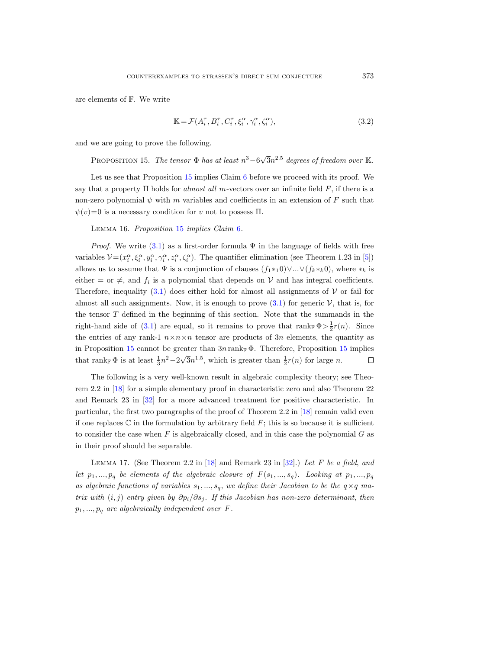are elements of F. We write

<span id="page-10-2"></span>
$$
\mathbb{K} = \mathcal{F}(A_i^{\tau}, B_i^{\tau}, C_i^{\tau}, \xi_i^{\alpha}, \gamma_i^{\alpha}, \zeta_i^{\alpha}), \tag{3.2}
$$

<span id="page-10-0"></span>and we are going to prove the following.

PROPOSITION 15. The tensor  $\Phi$  has at least  $n^3-6\sqrt{ }$  $\bar{3}n^{2.5}$  degrees of freedom over  $\mathbb{K}.$ 

Let us see that Proposition [15](#page-10-0) implies Claim [6](#page-5-1) before we proceed with its proof. We say that a property  $\Pi$  holds for almost all m-vectors over an infinite field F, if there is a non-zero polynomial  $\psi$  with m variables and coefficients in an extension of F such that  $\psi(v)=0$  is a necessary condition for v not to possess  $\Pi$ .

<span id="page-10-3"></span>Lemma 16. Proposition [15](#page-10-0) implies Claim [6](#page-5-1).

*Proof.* We write [\(3.1\)](#page-9-0) as a first-order formula  $\Psi$  in the language of fields with free variables  $\mathcal{V} = (x_i^{\alpha}, \xi_i^{\alpha}, y_i^{\alpha}, \gamma_i^{\alpha}, z_i^{\alpha}, \zeta_i^{\alpha})$ . The quantifier elimination (see Theorem 1.23 in [\[5\]](#page-14-19)) allows us to assume that  $\Psi$  is a conjunction of clauses  $(f_1 *_{1} 0) \vee ... \vee (f_k *_{k} 0)$ , where  $*_k$  is either = or  $\neq$ , and  $f_i$  is a polynomial that depends on  $V$  and has integral coefficients. Therefore, inequality [\(3.1\)](#page-9-0) does either hold for almost all assignments of  $\mathcal V$  or fail for almost all such assignments. Now, it is enough to prove  $(3.1)$  for generic  $\mathcal V$ , that is, for the tensor T defined in the beginning of this section. Note that the summands in the right-hand side of [\(3.1\)](#page-9-0) are equal, so it remains to prove that  $\text{rank}_{\mathbb{F}} \Phi > \frac{1}{2}r(n)$ . Since the entries of any rank-1  $n \times n \times n$  tensor are products of 3n elements, the quantity as in Proposition [15](#page-10-0) cannot be greater than  $3n \operatorname{rank}_{\mathbb{F}} \Phi$ . Therefore, Proposition 15 implies that rank  $\Phi$  is at least  $\frac{1}{3}n^2-2\sqrt{2}$  $\overline{3}n^{1.5}$ , which is greater than  $\frac{1}{2}r(n)$  for large n.  $\Box$ 

The following is a very well-known result in algebraic complexity theory; see Theorem 2.2 in [\[18\]](#page-14-20) for a simple elementary proof in characteristic zero and also Theorem 22 and Remark 23 in [\[32\]](#page-15-24) for a more advanced treatment for positive characteristic. In particular, the first two paragraphs of the proof of Theorem 2.2 in [\[18\]](#page-14-20) remain valid even if one replaces  $\mathbb C$  in the formulation by arbitrary field  $F$ ; this is so because it is sufficient to consider the case when  $F$  is algebraically closed, and in this case the polynomial  $G$  as in their proof should be separable.

<span id="page-10-1"></span>LEMMA 17. (See Theorem 2.2 in  $[18]$  and Remark 23 in  $[32]$ .) Let F be a field, and let  $p_1, ..., p_q$  be elements of the algebraic closure of  $F(s_1, ..., s_q)$ . Looking at  $p_1, ..., p_q$ as algebraic functions of variables  $s_1, ..., s_q$ , we define their Jacobian to be the  $q \times q$  matrix with  $(i, j)$  entry given by  $\partial p_i/\partial s_j$ . If this Jacobian has non-zero determinant, then  $p_1, ..., p_q$  are algebraically independent over F.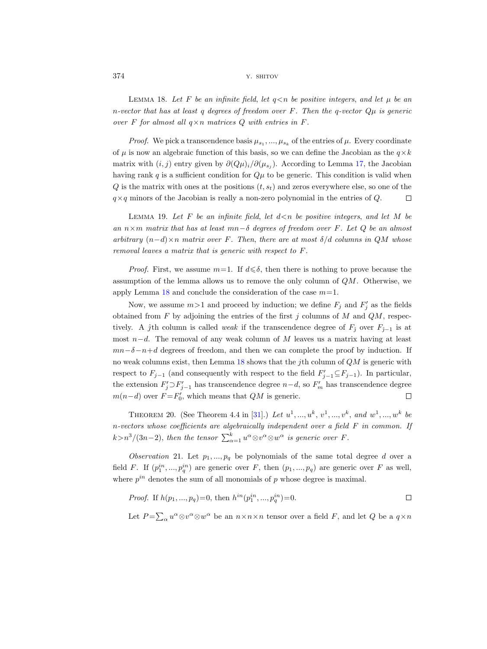<span id="page-11-0"></span>LEMMA 18. Let F be an infinite field, let  $q \leq n$  be positive integers, and let  $\mu$  be an n-vector that has at least q degrees of freedom over F. Then the q-vector  $Q\mu$  is generic over F for almost all  $q \times n$  matrices Q with entries in F.

*Proof.* We pick a transcendence basis  $\mu_{s_1},...,\mu_{s_k}$  of the entries of  $\mu$ . Every coordinate of  $\mu$  is now an algebraic function of this basis, so we can define the Jacobian as the  $q \times k$ matrix with  $(i, j)$  entry given by  $\partial (Q\mu)_i/\partial (\mu_{s_j})$ . According to Lemma [17,](#page-10-1) the Jacobian having rank q is a sufficient condition for  $Q\mu$  to be generic. This condition is valid when  $Q$  is the matrix with ones at the positions  $(t, s_t)$  and zeros everywhere else, so one of the  $q \times q$  minors of the Jacobian is really a non-zero polynomial in the entries of Q.  $\Box$ 

<span id="page-11-1"></span>LEMMA 19. Let  $F$  be an infinite field, let  $d \le n$  be positive integers, and let  $M$  be an  $n \times m$  matrix that has at least mn−δ degrees of freedom over F. Let Q be an almost arbitrary  $(n-d) \times n$  matrix over F. Then, there are at most  $\delta/d$  columns in QM whose removal leaves a matrix that is generic with respect to F.

*Proof.* First, we assume  $m=1$ . If  $d \leq \delta$ , then there is nothing to prove because the assumption of the lemma allows us to remove the only column of  $QM$ . Otherwise, we apply Lemma  $18$  and conclude the consideration of the case  $m=1$ .

Now, we assume  $m > 1$  and proceed by induction; we define  $F_j$  and  $F'_j$  as the fields obtained from  $F$  by adjoining the entries of the first  $j$  columns of  $M$  and  $QM$ , respectively. A  $\hat{j}$ th column is called *weak* if the transcendence degree of  $F_{\hat{j}}$  over  $F_{\hat{j}-1}$  is at most  $n-d$ . The removal of any weak column of M leaves us a matrix having at least  $mn-\delta-n+d$  degrees of freedom, and then we can complete the proof by induction. If no weak columns exist, then Lemma  $18$  shows that the jth column of  $QM$  is generic with respect to  $F_{j-1}$  (and consequently with respect to the field  $F'_{j-1} \subseteq F_{j-1}$ ). In particular, the extension  $F'_j \supset F'_{j-1}$  has transcendence degree  $n-d$ , so  $F'_m$  has transcendence degree  $m(n-d)$  over  $F = F'_0$ , which means that  $QM$  is generic.  $\Box$ 

<span id="page-11-2"></span>THEOREM 20. (See Theorem 4.4 in [\[31\]](#page-15-25).) Let  $u^1, ..., u^k, v^1, ..., v^k,$  and  $w^1, ..., w^k$  be n-vectors whose coefficients are algebraically independent over a field F in common. If  $k > n^3/(3n-2)$ , then the tensor  $\sum_{\alpha=1}^{k} u^{\alpha} \otimes v^{\alpha} \otimes w^{\alpha}$  is generic over F.

<span id="page-11-3"></span>Observation 21. Let  $p_1, ..., p_q$  be polynomials of the same total degree d over a field F. If  $(p_1^{in},...,p_q^{in})$  are generic over F, then  $(p_1,...,p_q)$  are generic over F as well, where  $p^{in}$  denotes the sum of all monomials of p whose degree is maximal.

*Proof.* If 
$$
h(p_1, ..., p_q) = 0
$$
, then  $h^{in}(p_1^{in}, ..., p_q^{in}) = 0$ .

Let  $P = \sum_{\alpha} u^{\alpha} \otimes v^{\alpha} \otimes w^{\alpha}$  be an  $n \times n \times n$  tensor over a field F, and let Q be a  $q \times n$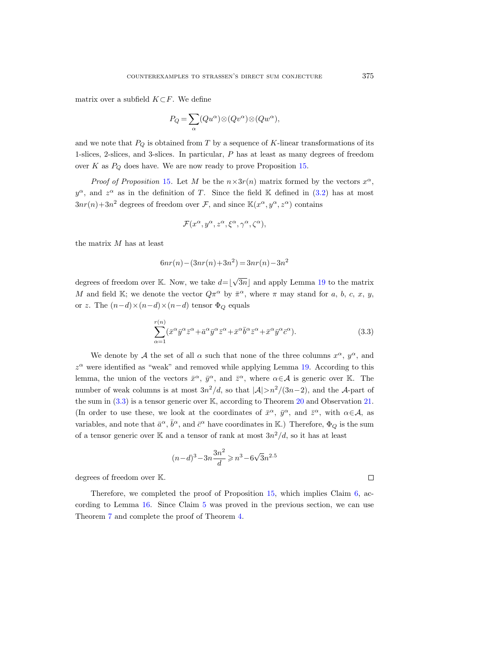matrix over a subfield  $K\subset F$ . We define

$$
P_Q = \sum_{\alpha} (Qu^{\alpha}) \otimes (Qu^{\alpha}) \otimes (Qu^{\alpha}),
$$

and we note that  $P_Q$  is obtained from T by a sequence of K-linear transformations of its 1-slices, 2-slices, and 3-slices. In particular, P has at least as many degrees of freedom over  $K$  as  $P_Q$  does have. We are now ready to prove Proposition [15.](#page-10-0)

*Proof of Proposition* [15](#page-10-0). Let M be the  $n \times 3r(n)$  matrix formed by the vectors  $x^{\alpha}$ ,  $y^{\alpha}$ , and  $z^{\alpha}$  as in the definition of T. Since the field K defined in [\(3.2\)](#page-10-2) has at most  $3nr(n)+3n^2$  degrees of freedom over F, and since  $\mathbb{K}(x^{\alpha}, y^{\alpha}, z^{\alpha})$  contains

$$
\mathcal{F}(x^{\alpha}, y^{\alpha}, z^{\alpha}, \xi^{\alpha}, \gamma^{\alpha}, \zeta^{\alpha}),
$$

the matrix M has at least

$$
6nr(n) - (3nr(n) + 3n^2) = 3nr(n) - 3n^2
$$

degrees of freedom over K. Now, we take  $d = \lfloor \sqrt{\cdot} \rfloor$  $3n$  and apply Lemma [19](#page-11-1) to the matrix M and field K; we denote the vector  $Q\pi^{\alpha}$  by  $\bar{\pi}^{\alpha}$ , where  $\pi$  may stand for a, b, c, x, y, or z. The  $(n-d)\times(n-d)\times(n-d)$  tensor  $\Phi_Q$  equals

<span id="page-12-0"></span>
$$
\sum_{\alpha=1}^{r(n)} (\bar{x}^{\alpha} \bar{y}^{\alpha} \bar{z}^{\alpha} + \bar{a}^{\alpha} \bar{y}^{\alpha} \bar{z}^{\alpha} + \bar{x}^{\alpha} \bar{b}^{\alpha} \bar{z}^{\alpha} + \bar{x}^{\alpha} \bar{y}^{\alpha} \bar{c}^{\alpha}).
$$
\n(3.3)

We denote by A the set of all  $\alpha$  such that none of the three columns  $x^{\alpha}$ ,  $y^{\alpha}$ , and  $z^{\alpha}$  were identified as "weak" and removed while applying Lemma [19.](#page-11-1) According to this lemma, the union of the vectors  $\bar{x}^{\alpha}$ ,  $\bar{y}^{\alpha}$ , and  $\bar{z}^{\alpha}$ , where  $\alpha \in \mathcal{A}$  is generic over K. The number of weak columns is at most  $3n^2/d$ , so that  $|\mathcal{A}| > n^2/(3n-2)$ , and the A-part of the sum in [\(3.3\)](#page-12-0) is a tensor generic over K, according to Theorem [20](#page-11-2) and Observation [21.](#page-11-3) (In order to use these, we look at the coordinates of  $\bar{x}^{\alpha}$ ,  $\bar{y}^{\alpha}$ , and  $\bar{z}^{\alpha}$ , with  $\alpha \in A$ , as variables, and note that  $\bar{a}^{\alpha}$ ,  $\bar{b}^{\alpha}$ , and  $\bar{c}^{\alpha}$  have coordinates in K.) Therefore,  $\Phi_Q$  is the sum of a tensor generic over K and a tensor of rank at most  $3n^2/d$ , so it has at least

$$
(n-d)^3 - 3n\frac{3n^2}{d} \geqslant n^3 - 6\sqrt{3}n^{2.5}
$$

degrees of freedom over K.

Therefore, we completed the proof of Proposition [15,](#page-10-0) which implies Claim [6,](#page-5-1) according to Lemma [16.](#page-10-3) Since Claim [5](#page-4-0) was proved in the previous section, we can use Theorem [7](#page-5-0) and complete the proof of Theorem [4.](#page-4-1)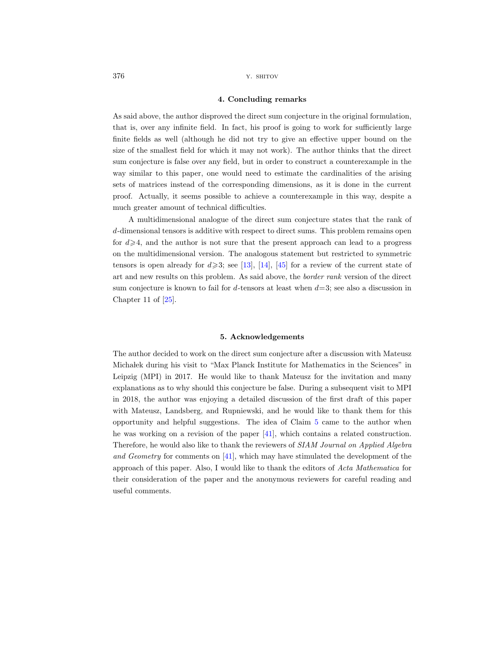#### 4. Concluding remarks

As said above, the author disproved the direct sum conjecture in the original formulation, that is, over any infinite field. In fact, his proof is going to work for sufficiently large finite fields as well (although he did not try to give an effective upper bound on the size of the smallest field for which it may not work). The author thinks that the direct sum conjecture is false over any field, but in order to construct a counterexample in the way similar to this paper, one would need to estimate the cardinalities of the arising sets of matrices instead of the corresponding dimensions, as it is done in the current proof. Actually, it seems possible to achieve a counterexample in this way, despite a much greater amount of technical difficulties.

A multidimensional analogue of the direct sum conjecture states that the rank of d-dimensional tensors is additive with respect to direct sums. This problem remains open for  $d \geq 4$ , and the author is not sure that the present approach can lead to a progress on the multidimensional version. The analogous statement but restricted to symmetric tensors is open already for  $d\geqslant 3$ ; see [\[13\]](#page-14-12), [\[14\]](#page-14-11), [\[45\]](#page-15-15) for a review of the current state of art and new results on this problem. As said above, the border rank version of the direct sum conjecture is known to fail for d-tensors at least when  $d=3$ ; see also a discussion in Chapter 11 of [\[25\]](#page-15-17).

#### 5. Acknowledgements

The author decided to work on the direct sum conjecture after a discussion with Mateusz Micha lek during his visit to "Max Planck Institute for Mathematics in the Sciences" in Leipzig (MPI) in 2017. He would like to thank Mateusz for the invitation and many explanations as to why should this conjecture be false. During a subsequent visit to MPI in 2018, the author was enjoying a detailed discussion of the first draft of this paper with Mateusz, Landsberg, and Rupniewski, and he would like to thank them for this opportunity and helpful suggestions. The idea of Claim [5](#page-4-0) came to the author when he was working on a revision of the paper [\[41\]](#page-15-23), which contains a related construction. Therefore, he would also like to thank the reviewers of SIAM Journal on Applied Algebra and Geometry for comments on [\[41\]](#page-15-23), which may have stimulated the development of the approach of this paper. Also, I would like to thank the editors of Acta Mathematica for their consideration of the paper and the anonymous reviewers for careful reading and useful comments.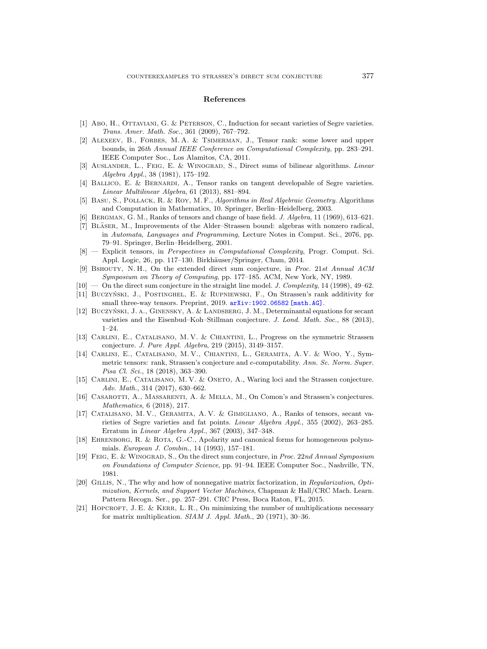#### References

- <span id="page-14-8"></span>[1] Abo, H., OTTAVIANI, G. & PETERSON, C., Induction for secant varieties of Segre varieties. Trans. Amer. Math. Soc., 361 (2009), 767–792.
- <span id="page-14-6"></span>[2] ALEXEEV, B., FORBES, M. A. & TSIMERMAN, J., Tensor rank: some lower and upper bounds, in 26th Annual IEEE Conference on Computational Complexity, pp. 283–291. IEEE Computer Soc., Los Alamitos, CA, 2011.
- <span id="page-14-2"></span>[3] Auslander, L., Feig, E. & Winograd, S., Direct sums of bilinear algorithms. Linear Algebra Appl., 38 (1981), 175–192.
- <span id="page-14-9"></span>[4] Ballico, E. & Bernardi, A., Tensor ranks on tangent developable of Segre varieties. Linear Multilinear Algebra, 61 (2013), 881–894.
- <span id="page-14-19"></span>[5] Basu, S., Pollack, R. & Roy, M. F., Algorithms in Real Algebraic Geometry. Algorithms and Computation in Mathematics, 10. Springer, Berlin–Heidelberg, 2003.
- <span id="page-14-1"></span>[6] Bergman, G. M., Ranks of tensors and change of base field. J. Algebra, 11 (1969), 613–621.
- <span id="page-14-7"></span>[7] BLÄSER, M., Improvements of the Alder–Strassen bound: algebras with nonzero radical, in Automata, Languages and Programming, Lecture Notes in Comput. Sci., 2076, pp. 79–91. Springer, Berlin–Heidelberg, 2001.
- <span id="page-14-5"></span>[8] — Explicit tensors, in Perspectives in Computational Complexity, Progr. Comput. Sci. Appl. Logic, 26, pp. 117–130. Birkhäuser/Springer, Cham, 2014.
- <span id="page-14-3"></span>[9] Bshouty, N. H., On the extended direct sum conjecture, in Proc. 21st Annual ACM Symposium on Theory of Computing, pp. 177–185. ACM, New York, NY, 1989.
- <span id="page-14-4"></span> $[10]$  — On the direct sum conjecture in the straight line model. *J. Complexity*, 14 (1998), 49–62.
- <span id="page-14-17"></span>[11] BUCZYŃSKI, J., POSTINGHEL, E. & RUPNIEWSKI, F., On Strassen's rank additivity for small three-way tensors. Preprint, 2019. [arXiv:1902.06582 \[math.AG\]](http://arxiv.org/abs/1902.06582).
- <span id="page-14-14"></span>[12] BUCZYŃSKI, J. A., GINENSKY, A. & LANDSBERG, J. M., Determinantal equations for secant varieties and the Eisenbud–Koh–Stillman conjecture. J. Lond. Math. Soc., 88 (2013), 1–24.
- <span id="page-14-12"></span>[13] Carlini, E., Catalisano, M. V. & Chiantini, L., Progress on the symmetric Strassen conjecture. J. Pure Appl. Algebra, 219 (2015), 3149–3157.
- <span id="page-14-11"></span>[14] Carlini, E., Catalisano, M. V., Chiantini, L., Geramita, A. V. & Woo, Y., Symmetric tensors: rank, Strassen's conjecture and e-computability. Ann. Sc. Norm. Super. Pisa Cl. Sci., 18 (2018), 363–390.
- <span id="page-14-13"></span>[15] CARLINI, E., CATALISANO, M. V. & ONETO, A., Waring loci and the Strassen conjecture. Adv. Math., 314 (2017), 630–662.
- <span id="page-14-15"></span>[16] Casarotti, A., Massarenti, A. & Mella, M., On Comon's and Strassen's conjectures. Mathematics, 6 (2018), 217.
- <span id="page-14-10"></span>[17] Catalisano, M. V., Geramita, A. V. & Gimigliano, A., Ranks of tensors, secant varieties of Segre varieties and fat points. Linear Algebra Appl., 355 (2002), 263–285. Erratum in Linear Algebra Appl., 367 (2003), 347–348.
- <span id="page-14-20"></span>[18] EHRENBORG, R. & ROTA, G.-C., Apolarity and canonical forms for homogeneous polynomials. European J. Combin., 14 (1993), 157–181.
- <span id="page-14-0"></span>[19] Feig, E. & Winograd, S., On the direct sum conjecture, in Proc. 22nd Annual Symposium on Foundations of Computer Science, pp. 91–94. IEEE Computer Soc., Nashville, TN, 1981.
- <span id="page-14-16"></span>[20] Gillis, N., The why and how of nonnegative matrix factorization, in Regularization, Optimization, Kernels, and Support Vector Machines, Chapman & Hall/CRC Mach. Learn. Pattern Recogn. Ser., pp. 257–291. CRC Press, Boca Raton, FL, 2015.
- <span id="page-14-18"></span>[21] HOPCROFT, J. E. & KERR, L. R., On minimizing the number of multiplications necessary for matrix multiplication.  $SIAM$  J. Appl. Math., 20 (1971), 30-36.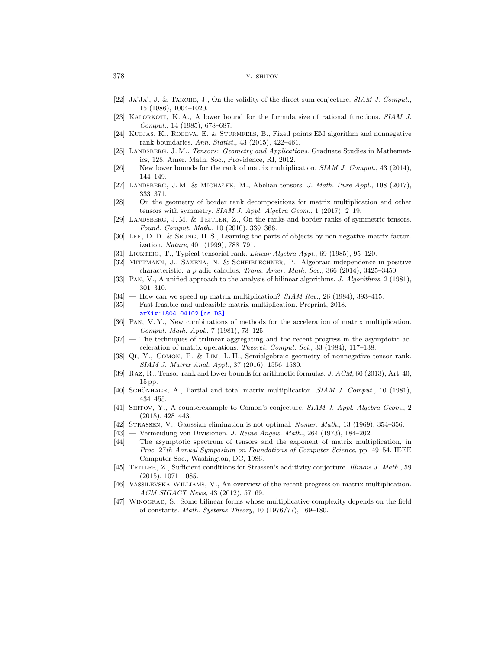- <span id="page-15-22"></span>[22] Ja'Ja', J. & Takche, J., On the validity of the direct sum conjecture. SIAM J. Comput., 15 (1986), 1004–1020.
- <span id="page-15-10"></span>[23] KALORKOTI, K.A., A lower bound for the formula size of rational functions. SIAM J. Comput., 14 (1985), 678–687.
- <span id="page-15-18"></span>[24] Kubjas, K., Robeva, E. & Sturmfels, B., Fixed points EM algorithm and nonnegative rank boundaries. Ann. Statist., 43 (2015), 422–461.
- <span id="page-15-17"></span>[25] LANDSBERG, J. M., Tensors: Geometry and Applications. Graduate Studies in Mathematics, 128. Amer. Math. Soc., Providence, RI, 2012.
- <span id="page-15-12"></span> $[26]$  — New lower bounds for the rank of matrix multiplication. SIAM J. Comput., 43 (2014), 144–149.
- <span id="page-15-16"></span>[27] LANDSBERG, J. M. & MICHALEK, M., Abelian tensors. J. Math. Pure Appl., 108 (2017), 333–371.
- <span id="page-15-13"></span>[28] — On the geometry of border rank decompositions for matrix multiplication and other tensors with symmetry. SIAM J. Appl. Algebra Geom., 1 (2017), 2–19.
- <span id="page-15-14"></span>[29] LANDSBERG, J. M. & TEITLER, Z., On the ranks and border ranks of symmetric tensors. Found. Comput. Math., 10 (2010), 339–366.
- <span id="page-15-19"></span>[30] Lee, D. D. & Seung, H. S., Learning the parts of objects by non-negative matrix factorization. Nature, 401 (1999), 788–791.
- <span id="page-15-25"></span>[31] Lickteig, T., Typical tensorial rank. Linear Algebra Appl., 69 (1985), 95–120.
- <span id="page-15-24"></span>[32] Mittmann, J., Saxena, N. & Scheiblechner, P., Algebraic independence in positive characteristic: a p-adic calculus. Trans. Amer. Math. Soc., 366 (2014), 3425–3450.
- <span id="page-15-5"></span>[33] Pan, V., A unified approach to the analysis of bilinear algorithms. J. Algorithms, 2 (1981), 301–310.
- <span id="page-15-4"></span> $[34]$  — How can we speed up matrix multiplication? SIAM Rev., 26 (1984), 393-415.
- <span id="page-15-8"></span>[35] — Fast feasible and unfeasible matrix multiplication. Preprint, 2018. [arXiv:1804.04102 \[cs.DS\]](http://arxiv.org/abs/1804.04102).
- <span id="page-15-6"></span>[36] Pan, V. Y., New combinations of methods for the acceleration of matrix multiplication. Comput. Math. Appl., 7 (1981), 73–125.
- <span id="page-15-7"></span>[37] — The techniques of trilinear aggregating and the recent progress in the asymptotic acceleration of matrix operations. Theoret. Comput. Sci., 33 (1984), 117–138.
- <span id="page-15-20"></span>[38] Qi, Y., Comon, P. & Lim, L. H., Semialgebraic geometry of nonnegative tensor rank. SIAM J. Matrix Anal. Appl., 37 (2016), 1556–1580.
- <span id="page-15-11"></span>[39] Raz, R., Tensor-rank and lower bounds for arithmetic formulas. J. ACM, 60 (2013), Art. 40, 15 pp.
- <span id="page-15-2"></span>[40] SCHÖNHAGE, A., Partial and total matrix multiplication.  $SIAM$  J. Comput., 10 (1981), 434–455.
- <span id="page-15-23"></span>[41] SHITOV, Y., A counterexample to Comon's conjecture. SIAM J. Appl. Algebra Geom., 2 (2018), 428–443.
- <span id="page-15-0"></span>[42] Strassen, V., Gaussian elimination is not optimal. Numer. Math., 13 (1969), 354–356.
- <span id="page-15-1"></span>[43] — Vermeidung von Divisionen. J. Reine Angew. Math., 264 (1973), 184–202.
- <span id="page-15-3"></span>[44] — The asymptotic spectrum of tensors and the exponent of matrix multiplication, in Proc. 27th Annual Symposium on Foundations of Computer Science, pp. 49–54. IEEE Computer Soc., Washington, DC, 1986.
- <span id="page-15-15"></span>[45] TEITLER, Z., Sufficient conditions for Strassen's additivity conjecture. Illinois J. Math., 59 (2015), 1071–1085.
- <span id="page-15-9"></span>[46] Vassilevska Williams, V., An overview of the recent progress on matrix multiplication. ACM SIGACT News, 43 (2012), 57–69.
- <span id="page-15-21"></span>[47] Winograd, S., Some bilinear forms whose multiplicative complexity depends on the field of constants. Math. Systems Theory, 10 (1976/77), 169–180.